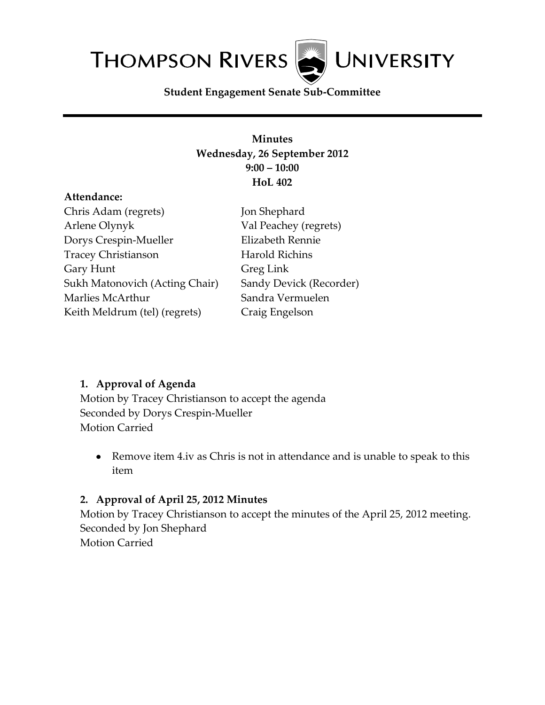**THOMPSON RIVERS UNIVERSITY** 

**Student Engagement Senate Sub-Committee**

### **Minutes Wednesday, 26 September 2012 9:00 – 10:00 HoL 402**

#### **Attendance:**

Chris Adam (regrets) Arlene Olynyk Dorys Crespin-Mueller Tracey Christianson Gary Hunt Sukh Matonovich (Acting Chair) Marlies McArthur Keith Meldrum (tel) (regrets)

Jon Shephard Val Peachey (regrets) Elizabeth Rennie Harold Richins Greg Link Sandy Devick (Recorder) Sandra Vermuelen Craig Engelson

### **1. Approval of Agenda**

Motion by Tracey Christianson to accept the agenda Seconded by Dorys Crespin-Mueller Motion Carried

Remove item 4.iv as Chris is not in attendance and is unable to speak to this item

### **2. Approval of April 25, 2012 Minutes**

Motion by Tracey Christianson to accept the minutes of the April 25, 2012 meeting. Seconded by Jon Shephard Motion Carried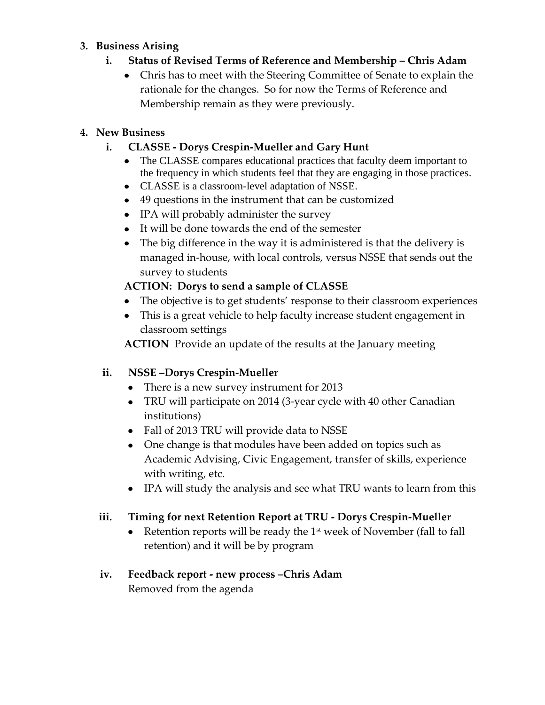### **3. Business Arising**

- **i. Status of Revised Terms of Reference and Membership – Chris Adam**
	- Chris has to meet with the Steering Committee of Senate to explain the rationale for the changes. So for now the Terms of Reference and Membership remain as they were previously.

# **4. New Business**

# **i. CLASSE - Dorys Crespin-Mueller and Gary Hunt**

- The CLASSE compares educational practices that faculty deem important to the frequency in which students feel that they are engaging in those practices.
- CLASSE is a classroom-level adaptation of NSSE.
- 49 questions in the instrument that can be customized
- IPA will probably administer the survey
- It will be done towards the end of the semester
- The big difference in the way it is administered is that the delivery is managed in-house, with local controls, versus NSSE that sends out the survey to students

# **ACTION: Dorys to send a sample of CLASSE**

- The objective is to get students' response to their classroom experiences
- This is a great vehicle to help faculty increase student engagement in classroom settings

**ACTION** Provide an update of the results at the January meeting

# **ii. NSSE –Dorys Crespin-Mueller**

- There is a new survey instrument for 2013
- TRU will participate on 2014 (3-year cycle with 40 other Canadian institutions)
- Fall of 2013 TRU will provide data to NSSE
- One change is that modules have been added on topics such as Academic Advising, Civic Engagement, transfer of skills, experience with writing, etc.
- IPA will study the analysis and see what TRU wants to learn from this

# **iii. Timing for next Retention Report at TRU - Dorys Crespin-Mueller**

 $\bullet$ Retention reports will be ready the  $1<sup>st</sup>$  week of November (fall to fall retention) and it will be by program

### **iv. Feedback report - new process –Chris Adam** Removed from the agenda